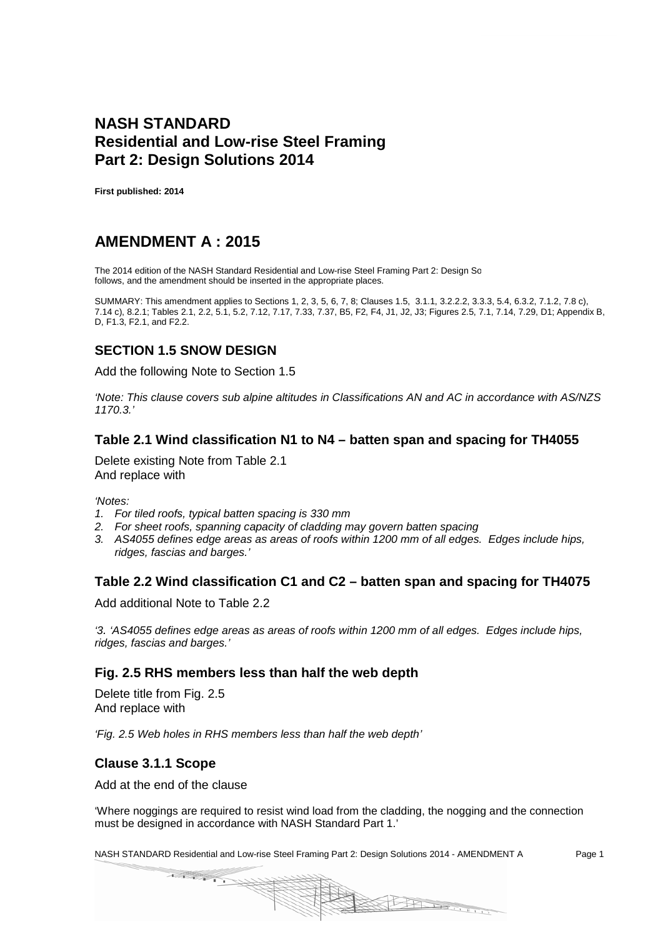## **NASH STANDARD Residential and Low-rise Steel Framing Part 2: Design Solutions 2014**

**First published: 2014**

# **AMENDMENT A : 2015**

The 2014 edition of the NASH Standard Residential and Low-rise Steel Framing Part 2: Design Sc follows, and the amendment should be inserted in the appropriate places.

SUMMARY: This amendment applies to Sections 1, 2, 3, 5, 6, 7, 8; Clauses 1.5, 3.1.1, 3.2.2.2, 3.3.3, 5.4, 6.3.2, 7.1.2, 7.8 c), 7.14 c), 8.2.1; Tables 2.1, 2.2, 5.1, 5.2, 7.12, 7.17, 7.33, 7.37, B5, F2, F4, J1, J2, J3; Figures 2.5, 7.1, 7.14, 7.29, D1; Appendix B, D, F1.3, F2.1, and F2.2.

### **SECTION 1.5 SNOW DESIGN**

Add the following Note to Section 1.5

*'Note: This clause covers sub alpine altitudes in Classifications AN and AC in accordance with AS/NZS 1170.3.'*

#### **Table 2.1 Wind classification N1 to N4 – batten span and spacing for TH4055**

Delete existing Note from Table 2.1 And replace with

*'Notes:*

- *1. For tiled roofs, typical batten spacing is 330 mm*
- *2. For sheet roofs, spanning capacity of cladding may govern batten spacing*
- *3. AS4055 defines edge areas as areas of roofs within 1200 mm of all edges. Edges include hips, ridges, fascias and barges.'*

#### **Table 2.2 Wind classification C1 and C2 – batten span and spacing for TH4075**

Add additional Note to Table 2.2

*'3. 'AS4055 defines edge areas as areas of roofs within 1200 mm of all edges. Edges include hips, ridges, fascias and barges.'*

#### **Fig. 2.5 RHS members less than half the web depth**

Delete title from Fig. 2.5 And replace with

*'Fig. 2.5 Web holes in RHS members less than half the web depth'*

#### **Clause 3.1.1 Scope**

Add at the end of the clause

'Where noggings are required to resist wind load from the cladding, the nogging and the connection must be designed in accordance with NASH Standard Part 1.'

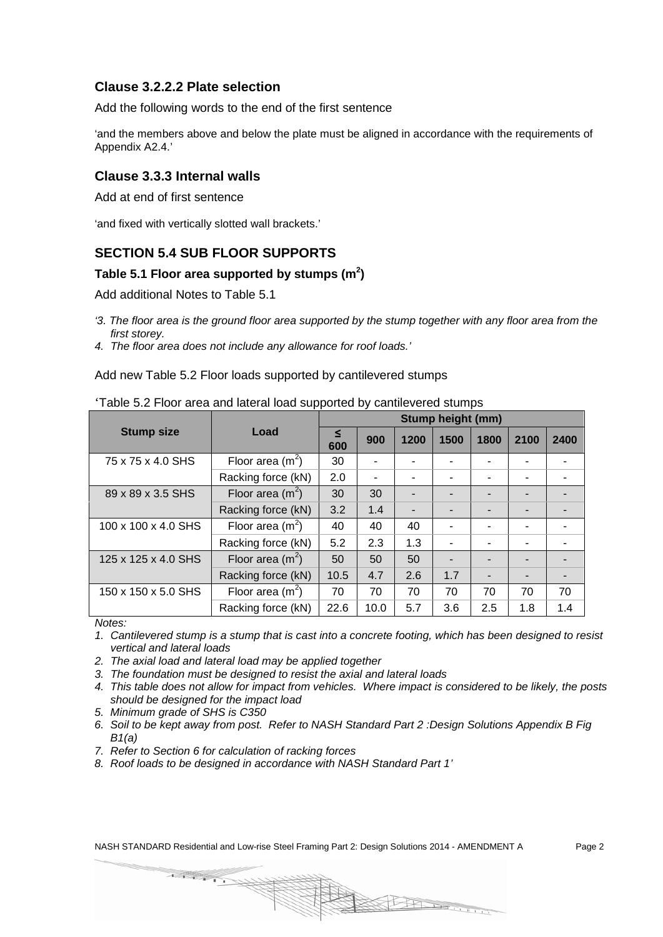#### **Clause 3.2.2.2 Plate selection**

Add the following words to the end of the first sentence

'and the members above and below the plate must be aligned in accordance with the requirements of Appendix A2.4.'

#### **Clause 3.3.3 Internal walls**

Add at end of first sentence

'and fixed with vertically slotted wall brackets.'

#### **SECTION 5.4 SUB FLOOR SUPPORTS**

#### **Table 5.1 Floor area supported by stumps (m<sup>2</sup> )**

Add additional Notes to Table 5.1

- *'3. The floor area is the ground floor area supported by the stump together with any floor area from the first storey.*
- *4. The floor area does not include any allowance for roof loads.'*

Add new Table 5.2 Floor loads supported by cantilevered stumps

|                     |                    | <b>Stump height (mm)</b>        |      |      |      |      |     |     |
|---------------------|--------------------|---------------------------------|------|------|------|------|-----|-----|
| <b>Stump size</b>   | Load               | ≤<br>1200<br>1500<br>900<br>600 |      | 1800 | 2100 | 2400 |     |     |
| 75 x 75 x 4.0 SHS   | Floor area $(m^2)$ | 30                              |      |      |      |      |     |     |
|                     | Racking force (kN) | 2.0                             |      |      |      |      |     |     |
| 89 x 89 x 3.5 SHS   | Floor area $(m^2)$ | 30                              | 30   |      |      |      |     |     |
|                     | Racking force (kN) | 3.2                             | 1.4  |      |      |      |     |     |
| 100 x 100 x 4.0 SHS | Floor area $(m^2)$ | 40                              | 40   | 40   |      |      |     |     |
|                     | Racking force (kN) | 5.2                             | 2.3  | 1.3  | ۰    |      |     |     |
| 125 x 125 x 4.0 SHS | Floor area $(m^2)$ | 50                              | 50   | 50   |      |      |     |     |
|                     | Racking force (kN) | 10.5                            | 4.7  | 2.6  | 1.7  |      |     |     |
| 150 x 150 x 5.0 SHS | Floor area $(m^2)$ | 70                              | 70   | 70   | 70   | 70   | 70  | 70  |
|                     | Racking force (kN) | 22.6                            | 10.0 | 5.7  | 3.6  | 2.5  | 1.8 | 1.4 |

#### 'Table 5.2 Floor area and lateral load supported by cantilevered stumps

*Notes:*

- *1. Cantilevered stump is a stump that is cast into a concrete footing, which has been designed to resist vertical and lateral loads*
- *2. The axial load and lateral load may be applied together*
- *3. The foundation must be designed to resist the axial and lateral loads*
- *4. This table does not allow for impact from vehicles. Where impact is considered to be likely, the posts should be designed for the impact load*
- *5. Minimum grade of SHS is C350*
- *6. Soil to be kept away from post. Refer to NASH Standard Part 2 :Design Solutions Appendix B Fig B1(a)*

PH LEUR

*7. Refer to Section 6 for calculation of racking forces*

*8. Roof loads to be designed in accordance with NASH Standard Part 1'*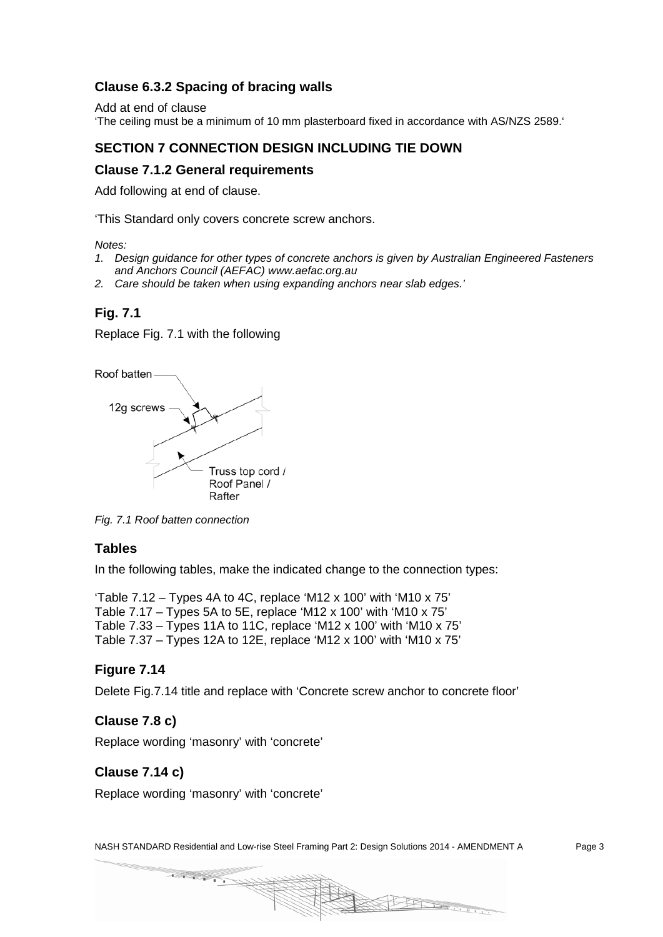### **Clause 6.3.2 Spacing of bracing walls**

Add at end of clause 'The ceiling must be a minimum of 10 mm plasterboard fixed in accordance with AS/NZS 2589.'

### **SECTION 7 CONNECTION DESIGN INCLUDING TIE DOWN**

#### **Clause 7.1.2 General requirements**

Add following at end of clause.

'This Standard only covers concrete screw anchors.

*Notes:*

- *1. Design guidance for other types of concrete anchors is given by Australian Engineered Fasteners and Anchors Council (AEFAC) www.aefac.org.au*
- *2. Care should be taken when using expanding anchors near slab edges.'*

#### **Fig. 7.1**

Replace Fig. 7.1 with the following

Roof batten



*Fig. 7.1 Roof batten connection*

#### **Tables**

In the following tables, make the indicated change to the connection types:

'Table  $7.12$  – Types 4A to 4C, replace 'M12 x 100' with 'M10 x 75' Table 7.17 – Types 5A to 5E, replace 'M12 x 100' with 'M10 x 75' Table 7.33 – Types 11A to 11C, replace 'M12 x 100' with 'M10 x 75' Table 7.37 – Types 12A to 12E, replace 'M12 x 100' with 'M10 x 75'

#### **Figure 7.14**

Delete Fig.7.14 title and replace with 'Concrete screw anchor to concrete floor'

#### **Clause 7.8 c)**

Replace wording 'masonry' with 'concrete'

#### **Clause 7.14 c)**

Replace wording 'masonry' with 'concrete'

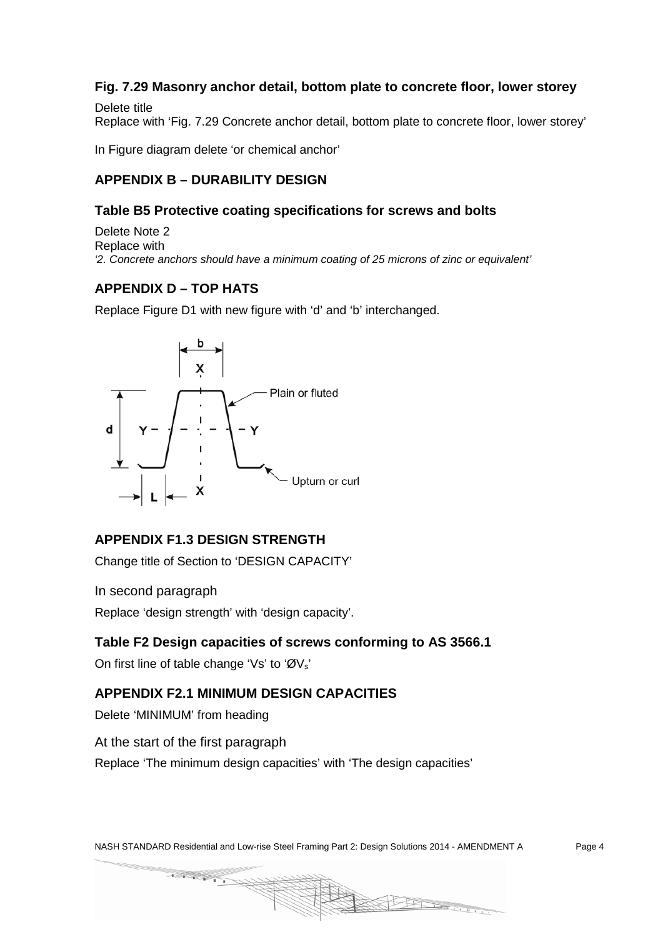## **Fig. 7.29 Masonry anchor detail, bottom plate to concrete floor, lower storey**

Delete title Replace with 'Fig. 7.29 Concrete anchor detail, bottom plate to concrete floor, lower storey'

In Figure diagram delete 'or chemical anchor'

## **APPENDIX B – DURABILITY DESIGN**

#### **Table B5 Protective coating specifications for screws and bolts**

Delete Note 2 Replace with *'2. Concrete anchors should have a minimum coating of 25 microns of zinc or equivalent'* 

## **APPENDIX D – TOP HATS**

Replace Figure D1 with new figure with 'd' and 'b' interchanged.



### **APPENDIX F1.3 DESIGN STRENGTH**

Change title of Section to 'DESIGN CAPACITY'

In second paragraph

Replace 'design strength' with 'design capacity'.

#### **Table F2 Design capacities of screws conforming to AS 3566.1**

On first line of table change 'Vs' to 'ØV<sub>s</sub>'

### **APPENDIX F2.1 MINIMUM DESIGN CAPACITIES**

Delete 'MINIMUM' from heading

At the start of the first paragraph

Replace 'The minimum design capacities' with 'The design capacities'

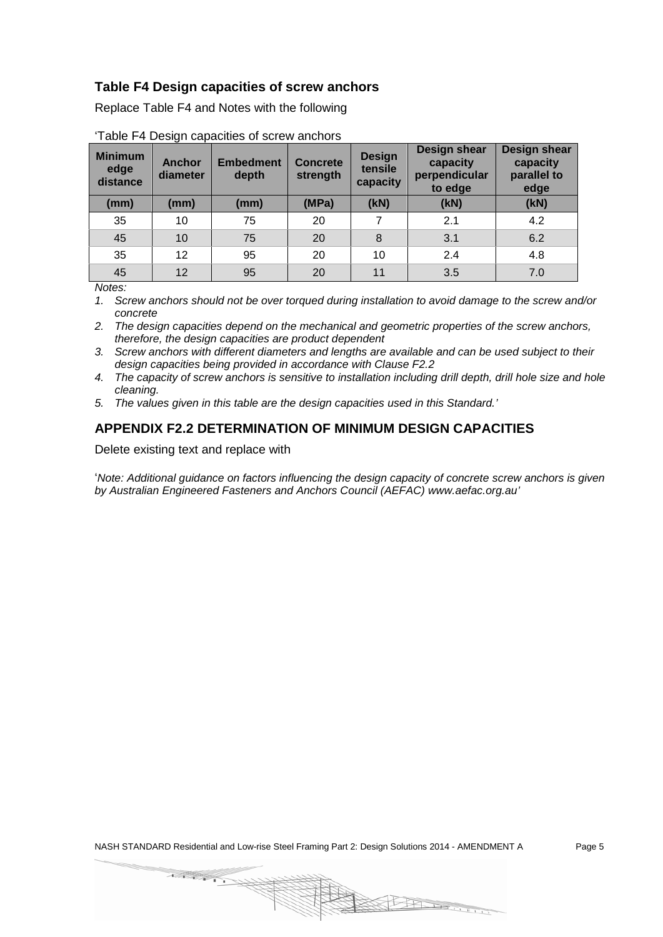#### **Table F4 Design capacities of screw anchors**

Replace Table F4 and Notes with the following

| <b>Minimum</b><br>edge<br>distance | <b>Anchor</b><br>diameter | <b>Embedment</b><br>depth | <b>Concrete</b><br>strength | <b>Design</b><br>tensile<br>capacity | Design shear<br>capacity<br>perpendicular<br>to edge | <b>Design shear</b><br>capacity<br>parallel to<br>edge |
|------------------------------------|---------------------------|---------------------------|-----------------------------|--------------------------------------|------------------------------------------------------|--------------------------------------------------------|
| (mm)                               | (mm)                      | (mm)                      | (MPa)                       | (KN)                                 | (kN)                                                 | (kN)                                                   |
| 35                                 | 10                        | 75                        | 20                          | 7                                    | 2.1                                                  | 4.2                                                    |
| 45                                 | 10 <sup>°</sup>           | 75                        | 20                          | 8                                    | 3.1                                                  | 6.2                                                    |
| 35                                 | 12                        | 95                        | 20                          | 10                                   | 2.4                                                  | 4.8                                                    |
| 45                                 | 12                        | 95                        | 20                          | 11                                   | 3.5                                                  | 7.0                                                    |

'Table F4 Design capacities of screw anchors

*Notes:*

*1. Screw anchors should not be over torqued during installation to avoid damage to the screw and/or concrete*

*2. The design capacities depend on the mechanical and geometric properties of the screw anchors, therefore, the design capacities are product dependent* 

*3. Screw anchors with different diameters and lengths are available and can be used subject to their design capacities being provided in accordance with Clause F2.2* 

*4. The capacity of screw anchors is sensitive to installation including drill depth, drill hole size and hole cleaning.*

*5. The values given in this table are the design capacities used in this Standard.'*

### **APPENDIX F2.2 DETERMINATION OF MINIMUM DESIGN CAPACITIES**

Delete existing text and replace with

'*Note: Additional guidance on factors influencing the design capacity of concrete screw anchors is given by Australian Engineered Fasteners and Anchors Council (AEFAC) www.aefac.org.au'*

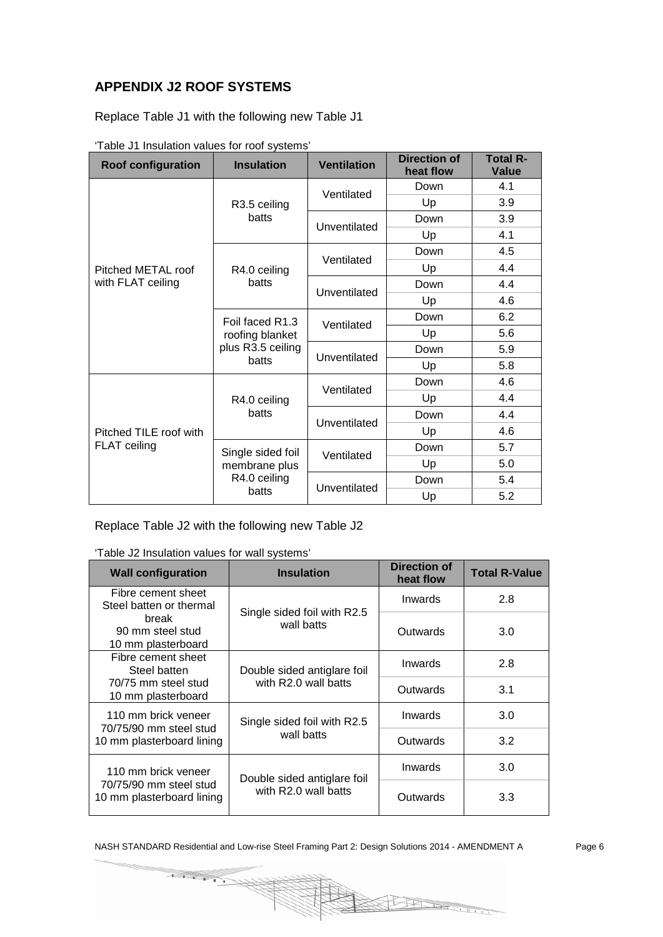## **APPENDIX J2 ROOF SYSTEMS**

Replace Table J1 with the following new Table J1

| <b>Roof configuration</b>              | <b>Insulation</b>                                                              | <b>Ventilation</b> | <b>Direction of</b><br>heat flow | <b>Total R-</b><br>Value |
|----------------------------------------|--------------------------------------------------------------------------------|--------------------|----------------------------------|--------------------------|
|                                        |                                                                                | Ventilated         | Down                             | 4.1                      |
|                                        | R3.5 ceiling                                                                   |                    | Up                               | 3.9                      |
|                                        | batts                                                                          | Unventilated       | Down                             | 3.9                      |
|                                        |                                                                                |                    | Up                               | 4.1                      |
|                                        |                                                                                | Ventilated         | Down                             | 4.5                      |
| Pitched METAL roof                     | R4.0 ceiling                                                                   |                    | Up                               | 4.4                      |
| with FLAT ceiling                      | batts                                                                          | Unventilated       | Down                             | 4.4                      |
|                                        |                                                                                |                    | Up                               | 4.6                      |
|                                        | Foil faced R1.3<br>Ventilated<br>roofing blanket<br>plus R3.5 ceiling<br>batts |                    | Down                             | 6.2                      |
|                                        |                                                                                |                    | Up                               | 5.6                      |
|                                        |                                                                                | Unventilated       | Down                             | 5.9                      |
|                                        |                                                                                |                    | Up                               | 5.8                      |
| Pitched TILE roof with<br>FLAT ceiling |                                                                                | Ventilated         | Down                             | 4.6                      |
|                                        | R4.0 ceiling                                                                   |                    | Up                               | 4.4                      |
|                                        | batts                                                                          | Unventilated       | Down                             | 4.4                      |
|                                        |                                                                                |                    | Up                               | 4.6                      |
|                                        | Single sided foil                                                              | Ventilated         | Down                             | 5.7                      |
|                                        | membrane plus                                                                  |                    | Up                               | 5.0                      |
|                                        | R4.0 ceiling                                                                   | Unventilated       | Down                             | 5.4                      |
|                                        | batts                                                                          |                    | Up                               | 5.2                      |

'Table J1 Insulation values for roof systems'

Replace Table J2 with the following new Table J2

'Table J2 Insulation values for wall systems'

| <b>Wall configuration</b>                           | <b>Insulation</b>           | Direction of<br>heat flow | <b>Total R-Value</b> |
|-----------------------------------------------------|-----------------------------|---------------------------|----------------------|
| Fibre cement sheet<br>Steel batten or thermal       | Single sided foil with R2.5 | Inwards                   | 2.8                  |
| break<br>90 mm steel stud<br>10 mm plasterboard     | wall batts                  | Outwards                  | 3.0                  |
| Fibre cement sheet<br>Steel batten                  | Double sided antiglare foil | Inwards                   | 2.8                  |
| 70/75 mm steel stud<br>10 mm plasterboard           | with R2.0 wall batts        | Outwards                  | 3.1                  |
| 110 mm brick veneer<br>70/75/90 mm steel stud       | Single sided foil with R2.5 | Inwards                   | 3.0                  |
| 10 mm plasterboard lining                           | wall batts                  | Outwards                  | 3.2                  |
| 110 mm brick veneer                                 | Double sided antiglare foil | Inwards                   | 3.0                  |
| 70/75/90 mm steel stud<br>10 mm plasterboard lining | with R2.0 wall batts        | Outwards                  | 3.3                  |

**CALLER**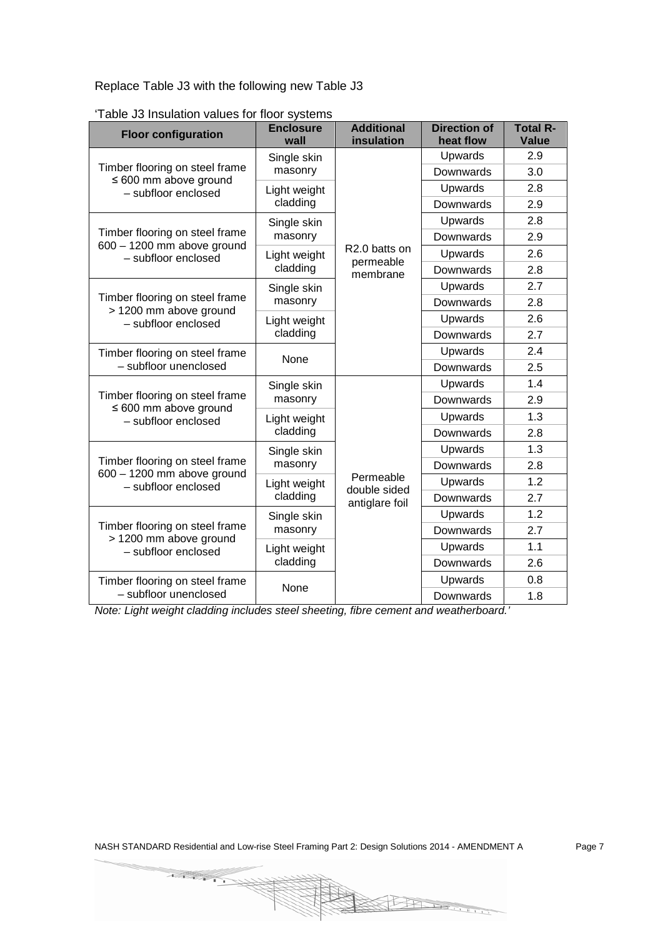Replace Table J3 with the following new Table J3

| <b>Floor configuration</b>                                     | <b>Enclosure</b><br>wall | <b>Additional</b><br>insulation        | <b>Direction of</b><br>heat flow | <b>Total R-</b><br><b>Value</b> |
|----------------------------------------------------------------|--------------------------|----------------------------------------|----------------------------------|---------------------------------|
|                                                                | Single skin              |                                        | Upwards                          | 2.9                             |
| Timber flooring on steel frame<br>$\leq 600$ mm above ground   | masonry                  | R2.0 batts on<br>permeable<br>membrane | Downwards                        | 3.0                             |
| - subfloor enclosed                                            | Light weight             |                                        | Upwards                          | 2.8                             |
|                                                                | cladding                 |                                        | Downwards                        | 2.9                             |
|                                                                | Single skin              |                                        | Upwards                          | 2.8                             |
| Timber flooring on steel frame<br>$600 - 1200$ mm above ground | masonry                  |                                        | Downwards                        | 2.9                             |
| - subfloor enclosed                                            | Light weight             |                                        | Upwards                          | 2.6                             |
|                                                                | cladding                 |                                        | Downwards                        | 2.8                             |
|                                                                | Single skin              |                                        | Upwards                          | 2.7                             |
| Timber flooring on steel frame<br>> 1200 mm above ground       | masonry                  |                                        | Downwards                        | 2.8                             |
| - subfloor enclosed                                            | Light weight             |                                        | Upwards                          | 2.6                             |
|                                                                | cladding                 |                                        | Downwards                        | 2.7                             |
| Timber flooring on steel frame                                 | None                     |                                        | Upwards                          | 2.4                             |
| - subfloor unenclosed                                          |                          |                                        | Downwards                        | 2.5                             |
|                                                                | Single skin              |                                        | Upwards                          | 1.4                             |
| Timber flooring on steel frame<br>$\leq 600$ mm above ground   | masonry                  |                                        | Downwards                        | 2.9                             |
| - subfloor enclosed                                            | Light weight             |                                        | Upwards                          | 1.3                             |
|                                                                | cladding                 |                                        | Downwards                        | 2.8                             |
|                                                                | Single skin              |                                        | Upwards                          | 1.3                             |
| Timber flooring on steel frame<br>$600 - 1200$ mm above ground | masonry                  |                                        | Downwards                        | 2.8                             |
| - subfloor enclosed                                            | Light weight<br>cladding | Permeable<br>double sided              | Upwards                          | 1.2                             |
|                                                                |                          | antiglare foil                         | Downwards                        | 2.7                             |
|                                                                | Single skin              |                                        | Upwards                          | 1.2                             |
| Timber flooring on steel frame                                 | masonry                  |                                        | Downwards                        | 2.7                             |
| > 1200 mm above ground<br>- subfloor enclosed                  | Light weight             |                                        | Upwards                          | 1.1                             |
|                                                                | cladding                 |                                        | Downwards                        | 2.6                             |
| Timber flooring on steel frame                                 | None                     |                                        | Upwards                          | 0.8                             |
| - subfloor unenclosed                                          |                          |                                        | Downwards                        | 1.8                             |

'Table J3 Insulation values for floor systems

*Note: Light weight cladding includes steel sheeting, fibre cement and weatherboard.'*